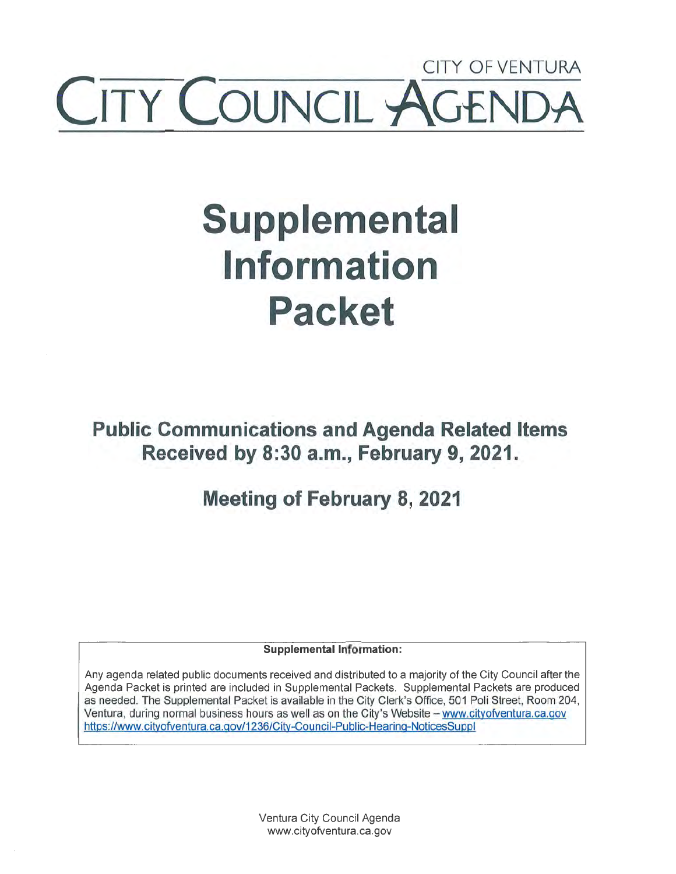## CITY OF VENTURA **ITY COUNCIL AGE**

# **Supplemental Information Packet**

**Public Communications and Agenda Related Items Received by 8:30 a.m., February 9, 2021.** 

**Meeting of February 8, 2021** 

**Supplemental Information:** 

Any agenda related public documents received and distributed to a majority of the City Council after the Agenda Packet is printed are included in Supplemental Packets. Supplemental Packets are produced as needed. The Supplemental Packet is available in the City Clerk's Office, 501 Poli Street, Room 204, Ventura, during normal business hours as well as on the City's Website - www.cityofventura.ca.gov https://www.cityofventura.ca.gov/1236/City-Council-Public-Hearing-NoticesSuppl

> Ventura City Council Agenda www.cityofventura.ca.gov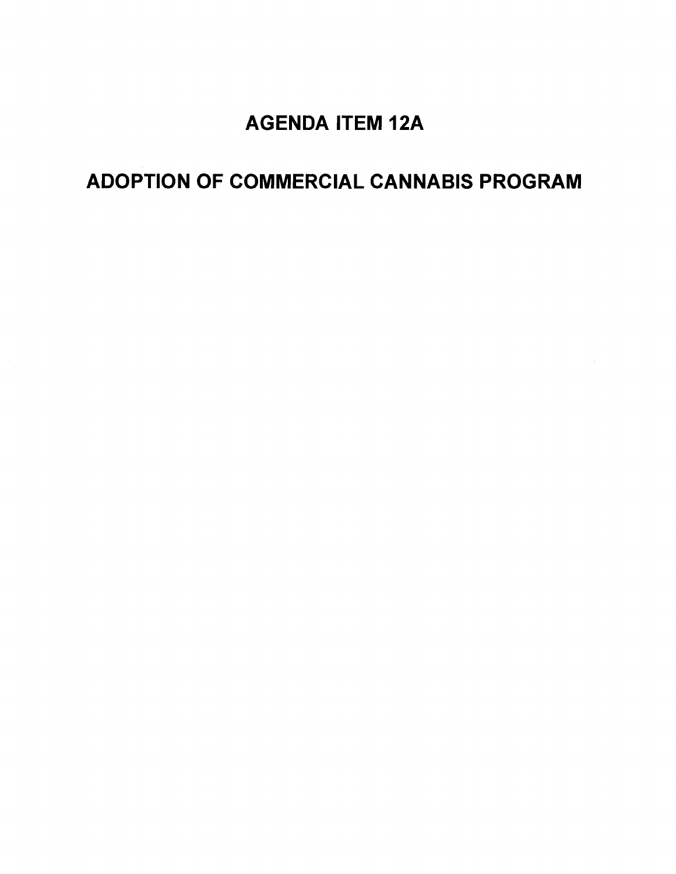### AGENDA ITEM 12A

## ADOPTION OF COMMERCIAL CANNABIS PROGRAM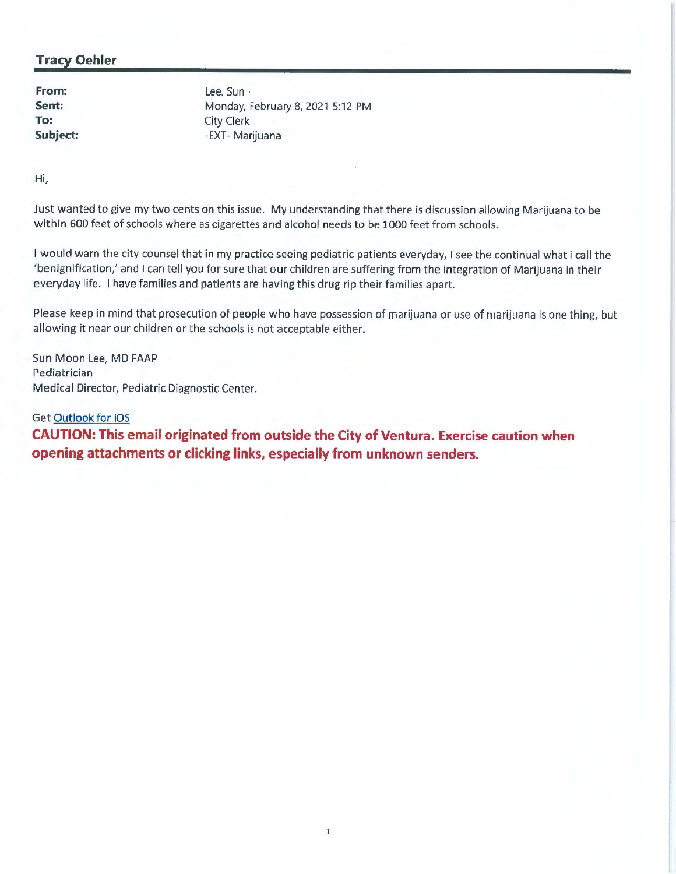#### **Tracy Oehler**

**From: Sent: To: Subject:** 

lee, Sun · Monday, February 8, 2021 5:12 PM City Clerk -EXT- Marijuana

Hi,

Just wanted to give my two cents on this issue. My understanding that there is discussion allowing Marijuana to be within 600 feet of schools where as cigarettes and alcohol needs to be 1000 feet from schools.

I would warn the city counsel that in my practice seeing pediatric patients everyday, I see the continual what i call the 'benignification,' and I can tell you for sure that our children are suffering from the integration of Marijuana in their everyday life. I have families and patients are having this drug rip their families apart.

Please keep in mind that prosecution of people who have possession of marijuana or use of marijuana is one thing, but allowing it near our children or the schools is not acceptable either.

Sun Moon Lee, MD FAAP Pediatrician Medical Director, Pediatric Diagnostic Center.

Get Outlook for iOS **CAUTION: This email originated from outside the City of Ventura. Exercise caution when opening attachments or clicking links, especially from unknown senders.**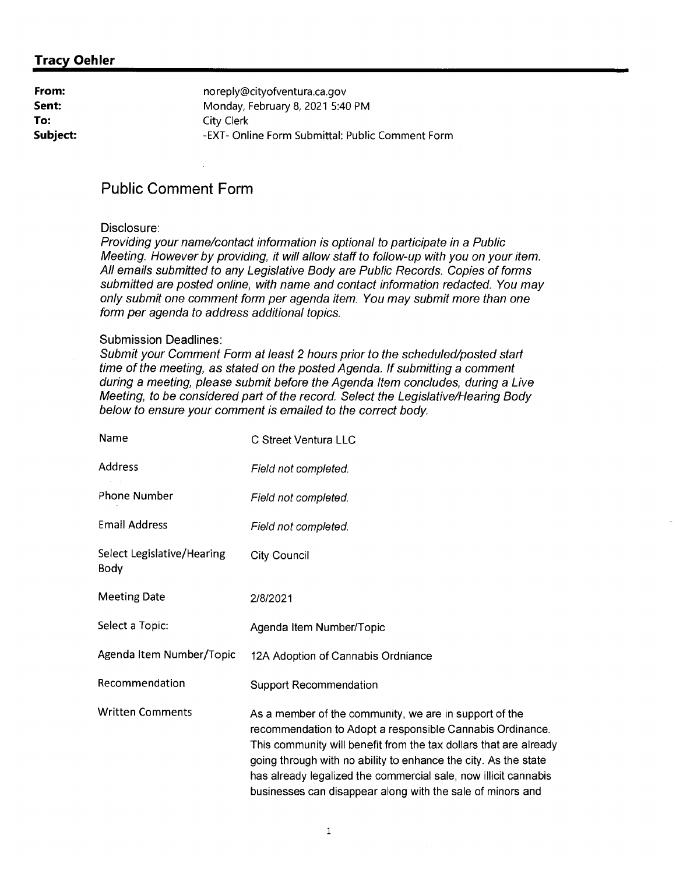#### **Tracy Oehler**

| From:    | noreply@cityofventura.ca.gov                     |
|----------|--------------------------------------------------|
| Sent:    | Monday, February 8, 2021 5:40 PM                 |
| To:      | City Clerk                                       |
| Subject: | -EXT- Online Form Submittal: Public Comment Form |

#### **Public Comment Form**

#### Disclosure:

Providing your name/contact information is optional to participate in a Public Meeting. However by providing, it will allow staff to follow-up with you on your item. All emails submitted to any Legislative Body are Public Records. Copies of forms submitted are posted online, with name and contact information redacted. You may only submit one comment form per agenda item. You may submit more than one form per agenda to address additional topics.

#### Submission Deadlines:

Submit your Comment Form at least 2 hours prior to the scheduled/posted start time of the meeting, as stated on the posted Agenda. If submitting a comment during a meeting, please submit before the Agenda Item concludes, during a Live Meeting, to be considered part of the record. Select the Legislative/Hearing Body below to ensure your comment is emailed to the correct body.

| Name                                      | C Street Ventura LLC                                                                                                                                                                                                                                                                                                                                                                         |
|-------------------------------------------|----------------------------------------------------------------------------------------------------------------------------------------------------------------------------------------------------------------------------------------------------------------------------------------------------------------------------------------------------------------------------------------------|
| Address                                   | Field not completed.                                                                                                                                                                                                                                                                                                                                                                         |
| <b>Phone Number</b>                       | Field not completed.                                                                                                                                                                                                                                                                                                                                                                         |
| <b>Email Address</b>                      | Field not completed.                                                                                                                                                                                                                                                                                                                                                                         |
| Select Legislative/Hearing<br><b>Body</b> | <b>City Council</b>                                                                                                                                                                                                                                                                                                                                                                          |
| <b>Meeting Date</b>                       | 2/8/2021                                                                                                                                                                                                                                                                                                                                                                                     |
| Select a Topic:                           | Agenda Item Number/Topic                                                                                                                                                                                                                                                                                                                                                                     |
| Agenda Item Number/Topic                  | 12A Adoption of Cannabis Ordniance                                                                                                                                                                                                                                                                                                                                                           |
| Recommendation                            | <b>Support Recommendation</b>                                                                                                                                                                                                                                                                                                                                                                |
| <b>Written Comments</b>                   | As a member of the community, we are in support of the<br>recommendation to Adopt a responsible Cannabis Ordinance.<br>This community will benefit from the tax dollars that are already<br>going through with no ability to enhance the city. As the state<br>has already legalized the commercial sale, now illicit cannabis<br>businesses can disappear along with the sale of minors and |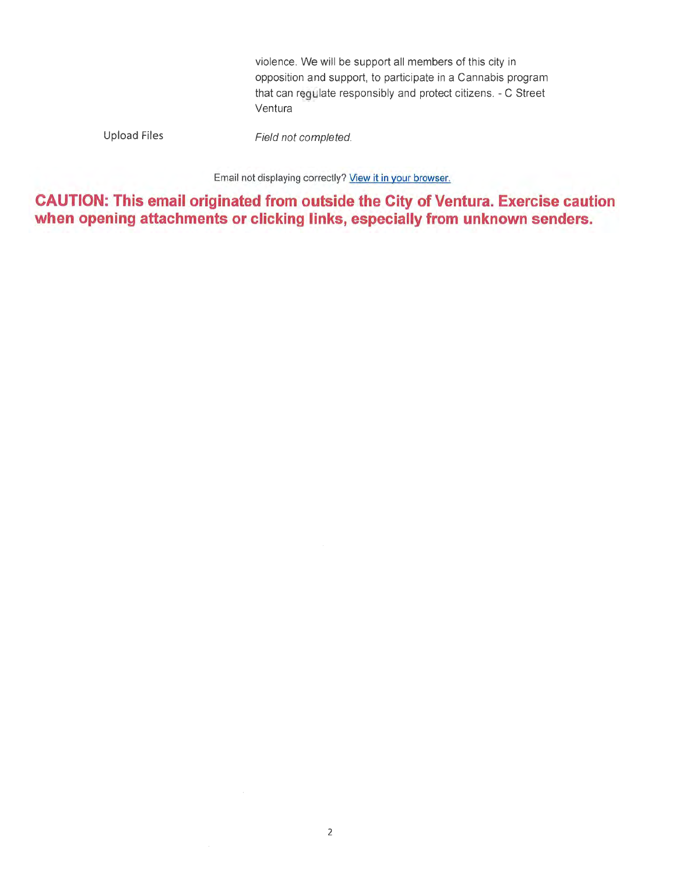violence. We will be support all members of this city in opposition and support, to participate in a Cannabis program that can regulate responsibly and protect citizens. - C Street Ventura

Upload Files

Field not completed.

Email not displaying correctly? View it in your browser.

**CAUTION: This email originated from outside the City of Ventura. Exercise caution when opening attachments or clicking links, especially from unknown senders.**